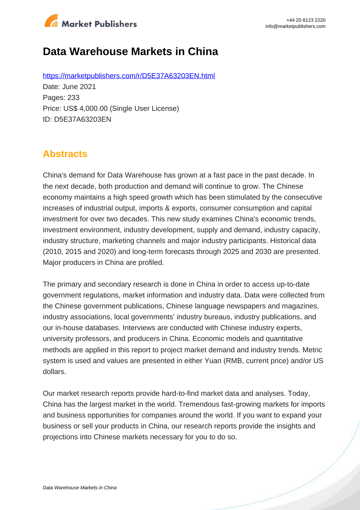

# **Data Warehouse Markets in China**

https://marketpublishers.com/r/D5E37A63203EN.html Date: June 2021 Pages: 233 Price: US\$ 4,000.00 (Single User License) ID: D5E37A63203EN

# **Abstracts**

China's demand for Data Warehouse has grown at a fast pace in the past decade. In the next decade, both production and demand will continue to grow. The Chinese economy maintains a high speed growth which has been stimulated by the consecutive increases of industrial output, imports & exports, consumer consumption and capital investment for over two decades. This new study examines China's economic trends, investment environment, industry development, supply and demand, industry capacity, industry structure, marketing channels and major industry participants. Historical data (2010, 2015 and 2020) and long-term forecasts through 2025 and 2030 are presented. Major producers in China are profiled.

The primary and secondary research is done in China in order to access up-to-date government regulations, market information and industry data. Data were collected from the Chinese government publications, Chinese language newspapers and magazines, industry associations, local governments' industry bureaus, industry publications, and our in-house databases. Interviews are conducted with Chinese industry experts, university professors, and producers in China. Economic models and quantitative methods are applied in this report to project market demand and industry trends. Metric system is used and values are presented in either Yuan (RMB, current price) and/or US dollars.

Our market research reports provide hard-to-find market data and analyses. Today, China has the largest market in the world. Tremendous fast-growing markets for imports and business opportunities for companies around the world. If you want to expand your business or sell your products in China, our research reports provide the insights and projections into Chinese markets necessary for you to do so.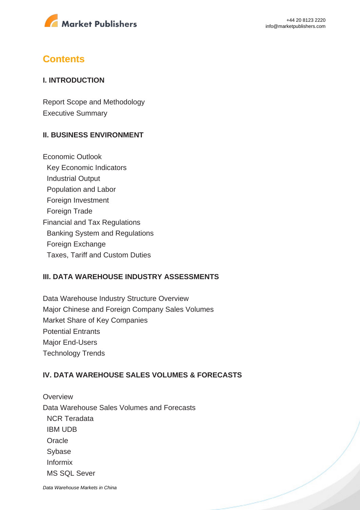

# **Contents**

### **I. INTRODUCTION**

Report Scope and Methodology Executive Summary

### **II. BUSINESS ENVIRONMENT**

Economic Outlook Key Economic Indicators Industrial Output Population and Labor Foreign Investment Foreign Trade Financial and Tax Regulations Banking System and Regulations Foreign Exchange Taxes, Tariff and Custom Duties

#### **III. DATA WAREHOUSE INDUSTRY ASSESSMENTS**

Data Warehouse Industry Structure Overview Major Chinese and Foreign Company Sales Volumes Market Share of Key Companies Potential Entrants Major End-Users Technology Trends

### **IV. DATA WAREHOUSE SALES VOLUMES & FORECASTS**

**Overview** Data Warehouse Sales Volumes and Forecasts NCR Teradata IBM UDB **Oracle**  Sybase Informix MS SQL Sever

[Data Warehouse Markets in China](https://marketpublishers.com/report/software/application_software/data-warehouse-markets-in-china.html)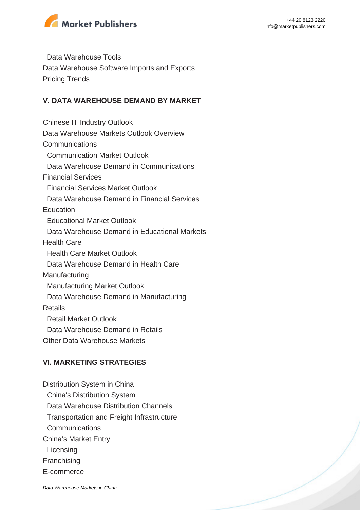

 Data Warehouse Tools Data Warehouse Software Imports and Exports Pricing Trends

### **V. DATA WAREHOUSE DEMAND BY MARKET**

Chinese IT Industry Outlook Data Warehouse Markets Outlook Overview Communications Communication Market Outlook Data Warehouse Demand in Communications Financial Services Financial Services Market Outlook Data Warehouse Demand in Financial Services Education Educational Market Outlook Data Warehouse Demand in Educational Markets Health Care Health Care Market Outlook Data Warehouse Demand in Health Care Manufacturing Manufacturing Market Outlook Data Warehouse Demand in Manufacturing Retails Retail Market Outlook Data Warehouse Demand in Retails Other Data Warehouse Markets **VI. MARKETING STRATEGIES**

Distribution System in China China's Distribution System Data Warehouse Distribution Channels Transportation and Freight Infrastructure **Communications** China's Market Entry **Licensing** Franchising E-commerce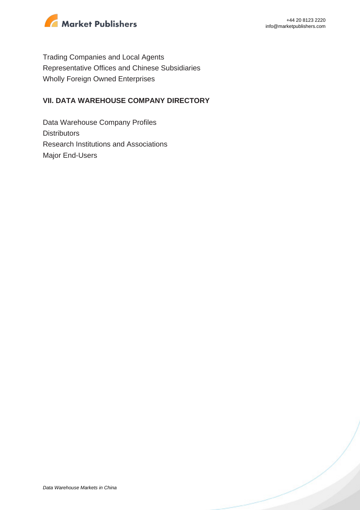

Trading Companies and Local Agents Representative Offices and Chinese Subsidiaries Wholly Foreign Owned Enterprises

### **VII. DATA WAREHOUSE COMPANY DIRECTORY**

Data Warehouse Company Profiles **Distributors** Research Institutions and Associations Major End-Users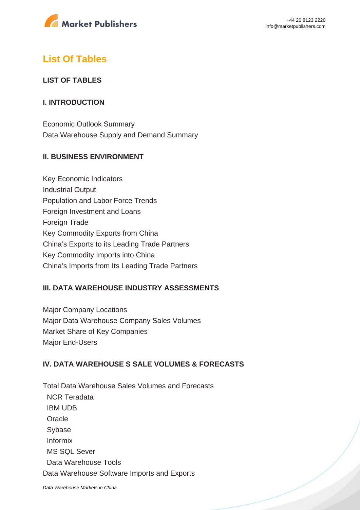

# **List Of Tables**

### **LIST OF TABLES**

### **I. INTRODUCTION**

Economic Outlook Summary Data Warehouse Supply and Demand Summary

### **II. BUSINESS ENVIRONMENT**

Key Economic Indicators Industrial Output Population and Labor Force Trends Foreign Investment and Loans Foreign Trade Key Commodity Exports from China China's Exports to its Leading Trade Partners Key Commodity Imports into China China's Imports from Its Leading Trade Partners

### **III. DATA WAREHOUSE INDUSTRY ASSESSMENTS**

Major Company Locations Major Data Warehouse Company Sales Volumes Market Share of Key Companies Major End-Users

## **IV. DATA WAREHOUSE S SALE VOLUMES & FORECASTS**

Total Data Warehouse Sales Volumes and Forecasts NCR Teradata IBM UDB **Oracle**  Sybase Informix MS SQL Sever Data Warehouse Tools Data Warehouse Software Imports and Exports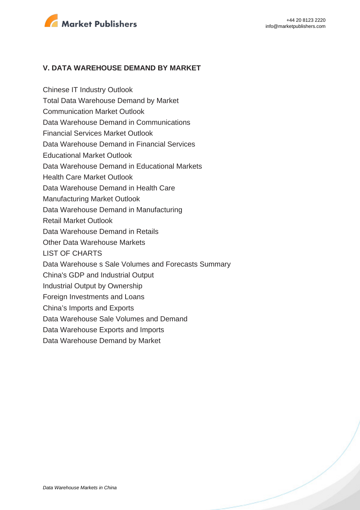

#### **V. DATA WAREHOUSE DEMAND BY MARKET**

Chinese IT Industry Outlook Total Data Warehouse Demand by Market Communication Market Outlook Data Warehouse Demand in Communications Financial Services Market Outlook Data Warehouse Demand in Financial Services Educational Market Outlook Data Warehouse Demand in Educational Markets Health Care Market Outlook Data Warehouse Demand in Health Care Manufacturing Market Outlook Data Warehouse Demand in Manufacturing Retail Market Outlook Data Warehouse Demand in Retails Other Data Warehouse Markets LIST OF CHARTS Data Warehouse s Sale Volumes and Forecasts Summary China's GDP and Industrial Output Industrial Output by Ownership Foreign Investments and Loans China's Imports and Exports Data Warehouse Sale Volumes and Demand Data Warehouse Exports and Imports Data Warehouse Demand by Market